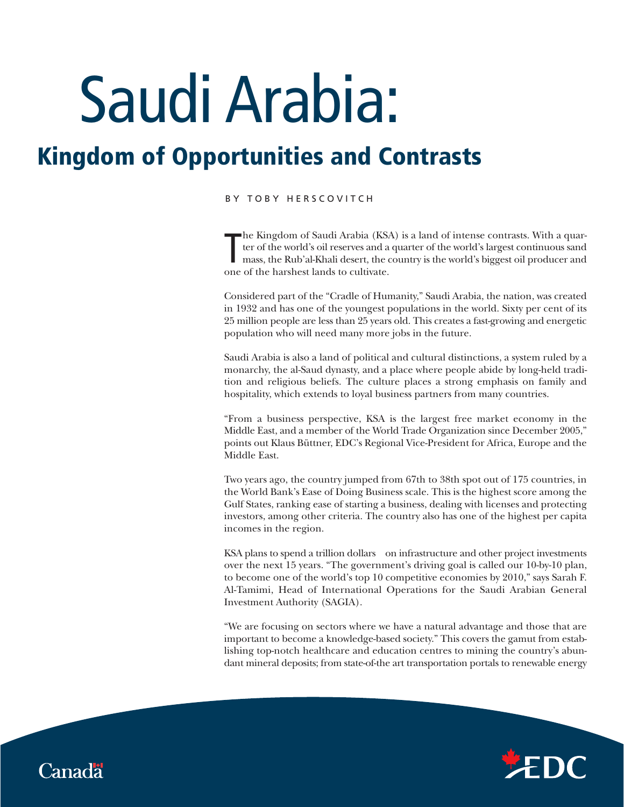# Saudi Arabia:

## **Kingdom of Opportunities and Contrasts**

### BY TOBY HERSCOVITCH

The Kingdom of Saudi Arabia (KSA)<br>ter of the world's oil reserves and a<br>mass, the Rub'al-Khali desert, the c<br>one of the harshest lands to cultivate. he Kingdom of Saudi Arabia (KSA) is a land of intense contrasts. With a quarter of the world's oil reserves and a quarter of the world's largest continuous sand mass, the Rub'al-Khali desert, the country is the world's biggest oil producer and

Considered part of the "Cradle of Humanity," Saudi Arabia, the nation, was created in 1932 and has one of the youngest populations in the world. Sixty per cent of its 25 million people are less than 25 years old. This creates a fast-growing and energetic population who will need many more jobs in the future.

Saudi Arabia is also a land of political and cultural distinctions, a system ruled by a monarchy, the al-Saud dynasty, and a place where people abide by long-held tradition and religious beliefs. The culture places a strong emphasis on family and hospitality, which extends to loyal business partners from many countries.

"From a business perspective, KSA is the largest free market economy in the Middle East, and a member of the World Trade Organization since December 2005," points out Klaus Büttner, EDC's Regional Vice-President for Africa, Europe and the Middle East.

Two years ago, the country jumped from 67th to 38th spot out of 175 countries, in the World Bank's Ease of Doing Business scale. This is the highest score among the Gulf States, ranking ease of starting a business, dealing with licenses and protecting investors, among other criteria. The country also has one of the highest per capita incomes in the region.

KSA plans to spend a trillion dollars on infrastructure and other project investments over the next 15 years. "The government's driving goal is called our 10-by-10 plan, to become one of the world's top 10 competitive economies by 2010," says Sarah F. Al-Tamimi, Head of International Operations for the Saudi Arabian General Investment Authority (SAGIA).

"We are focusing on sectors where we have a natural advantage and those that are important to become a knowledge-based society." This covers the gamut from establishing top-notch healthcare and education centres to mining the country's abundant mineral deposits; from state-of-the art transportation portals to renewable energy



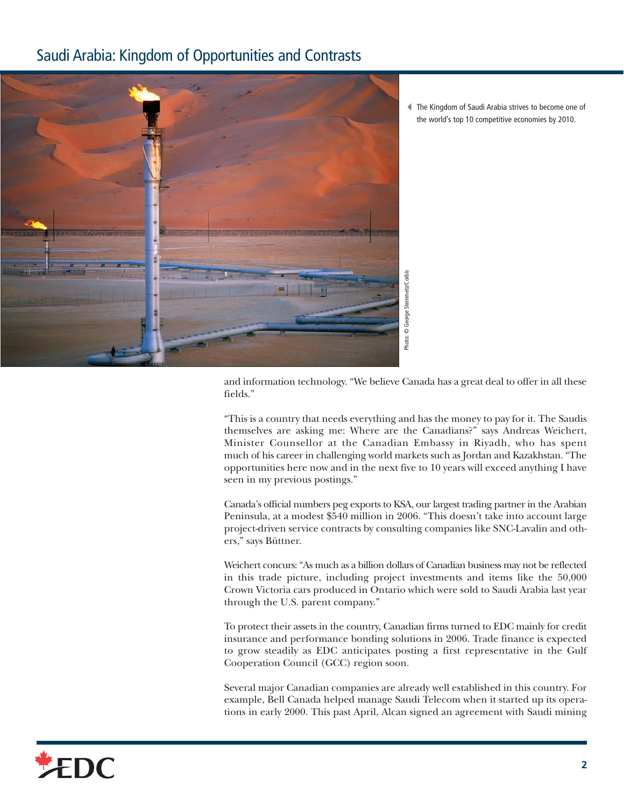## Saudi Arabia: Kingdom of Opportunities and Contrasts



-The Kingdom of Saudi Arabia strives to become one of the world's top 10 competitive economies by 2010.

and information technology. "We believe Canada has a great deal to offer in all these fields."

"This is a country that needs everything and has the money to pay for it. The Saudis themselves are asking me: Where are the Canadians?" says Andreas Weichert, Minister Counsellor at the Canadian Embassy in Riyadh, who has spent much of his career in challenging world markets such as Jordan and Kazakhstan. "The opportunities here now and in the next five to 10 years will exceed anything I have seen in my previous postings."

Canada's official numbers peg exports to KSA, our largest trading partner in the Arabian Peninsula, at a modest \$540 million in 2006. "This doesn't take into account large project-driven service contracts by consulting companies like SNC-Lavalin and others," says Büttner.

Weichert concurs: "As much as a billion dollars of Canadian business may not be reflected in this trade picture, including project investments and items like the 50,000 Crown Victoria cars produced in Ontario which were sold to Saudi Arabia last year through the U.S. parent company."

To protect their assets in the country, Canadian firms turned to EDC mainly for credit insurance and performance bonding solutions in 2006. Trade finance is expected to grow steadily as EDC anticipates posting a first representative in the Gulf Cooperation Council (GCC) region soon.

Several major Canadian companies are already well established in this country. For example, Bell Canada helped manage Saudi Telecom when it started up its operations in early 2000. This past April, Alcan signed an agreement with Saudi mining

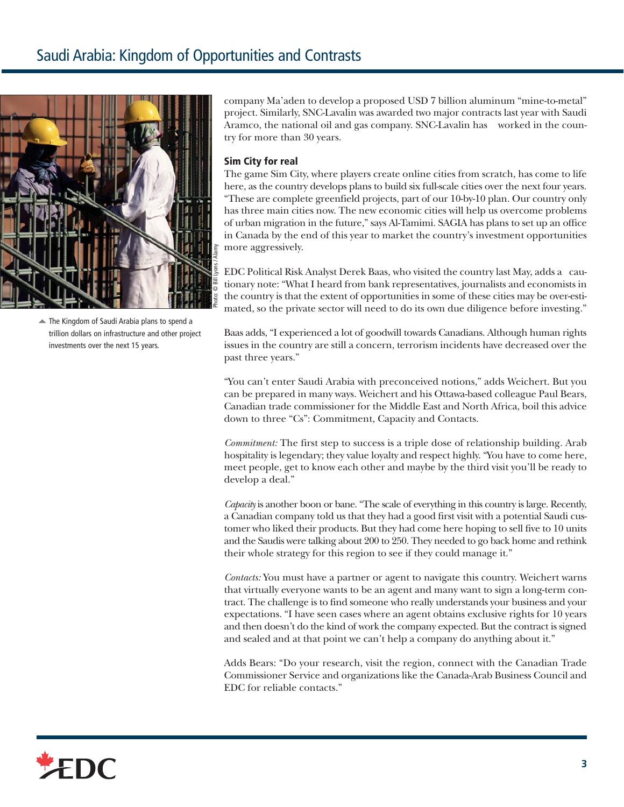

The Kingdom of Saudi Arabia plans to spend a trillion dollars on infrastructure and other project investments over the next 15 years.

company Ma'aden to develop a proposed USD 7 billion aluminum "mine-to-metal" project. Similarly, SNC-Lavalin was awarded two major contracts last year with Saudi Aramco, the national oil and gas company. SNC-Lavalin has worked in the country for more than 30 years.

## **Sim City for real**

The game Sim City, where players create online cities from scratch, has come to life here, as the country develops plans to build six full-scale cities over the next four years. "These are complete greenfield projects, part of our 10-by-10 plan. Our country only has three main cities now. The new economic cities will help us overcome problems of urban migration in the future," says Al-Tamimi. SAGIA has plans to set up an office in Canada by the end of this year to market the country's investment opportunities more aggressively.

EDC Political Risk Analyst Derek Baas, who visited the country last May, adds a cautionary note: "What I heard from bank representatives, journalists and economists in the country is that the extent of opportunities in some of these cities may be over-estimated, so the private sector will need to do its own due diligence before investing."

Baas adds, "I experienced a lot of goodwill towards Canadians. Although human rights issues in the country are still a concern, terrorism incidents have decreased over the past three years."

"You can't enter Saudi Arabia with preconceived notions," adds Weichert. But you can be prepared in many ways. Weichert and his Ottawa-based colleague Paul Bears, Canadian trade commissioner for the Middle East and North Africa, boil this advice down to three "Cs": Commitment, Capacity and Contacts.

*Commitment:* The first step to success is a triple dose of relationship building. Arab hospitality is legendary; they value loyalty and respect highly. "You have to come here, meet people, get to know each other and maybe by the third visit you'll be ready to develop a deal."

*Capacity*is another boon or bane. "The scale of everything in this country is large. Recently, a Canadian company told us that they had a good first visit with a potential Saudi customer who liked their products. But they had come here hoping to sell five to 10 units and the Saudis were talking about 200 to 250. They needed to go back home and rethink their whole strategy for this region to see if they could manage it."

*Contacts:* You must have a partner or agent to navigate this country. Weichert warns that virtually everyone wants to be an agent and many want to sign a long-term contract. The challenge is to find someone who really understands your business and your expectations. "I have seen cases where an agent obtains exclusive rights for 10 years and then doesn't do the kind of work the company expected. But the contract is signed and sealed and at that point we can't help a company do anything about it."

Adds Bears: "Do your research, visit the region, connect with the Canadian Trade Commissioner Service and organizations like the Canada-Arab Business Council and EDC for reliable contacts."

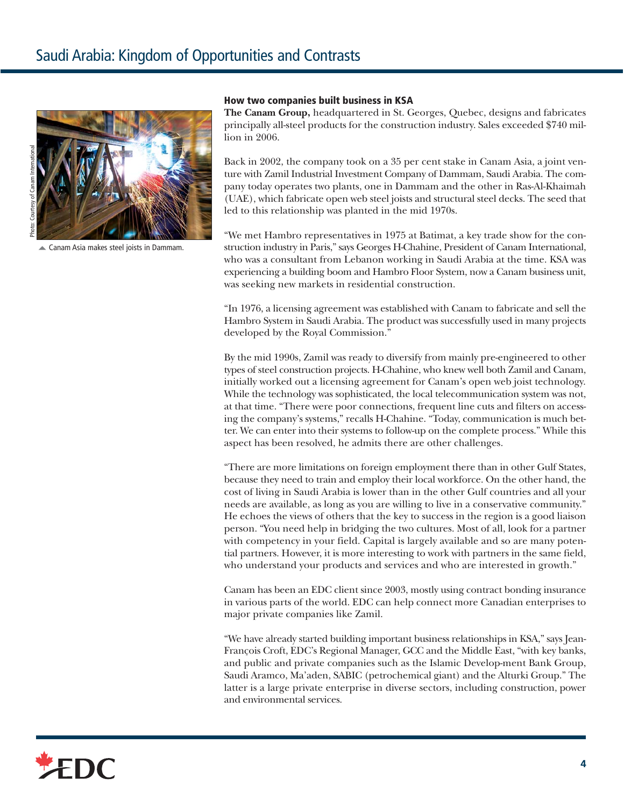



#### **How two companies built business in KSA**

**The Canam Group,** headquartered in St. Georges, Quebec, designs and fabricates principally all-steel products for the construction industry. Sales exceeded \$740 million in 2006.

Back in 2002, the company took on a 35 per cent stake in Canam Asia, a joint venture with Zamil Industrial Investment Company of Dammam, Saudi Arabia. The company today operates two plants, one in Dammam and the other in Ras-Al-Khaimah (UAE), which fabricate open web steel joists and structural steel decks. The seed that led to this relationship was planted in the mid 1970s.

"We met Hambro representatives in 1975 at Batimat, a key trade show for the construction industry in Paris," says Georges H-Chahine, President of Canam International, who was a consultant from Lebanon working in Saudi Arabia at the time. KSA was experiencing a building boom and Hambro Floor System, now a Canam business unit, was seeking new markets in residential construction.

"In 1976, a licensing agreement was established with Canam to fabricate and sell the Hambro System in Saudi Arabia. The product was successfully used in many projects developed by the Royal Commission."

By the mid 1990s, Zamil was ready to diversify from mainly pre-engineered to other types of steel construction projects. H-Chahine, who knew well both Zamil and Canam, initially worked out a licensing agreement for Canam's open web joist technology. While the technology was sophisticated, the local telecommunication system was not, at that time. "There were poor connections, frequent line cuts and filters on accessing the company's systems," recalls H-Chahine. "Today, communication is much better. We can enter into their systems to follow-up on the complete process." While this aspect has been resolved, he admits there are other challenges.

"There are more limitations on foreign employment there than in other Gulf States, because they need to train and employ their local workforce. On the other hand, the cost of living in Saudi Arabia is lower than in the other Gulf countries and all your needs are available, as long as you are willing to live in a conservative community." He echoes the views of others that the key to success in the region is a good liaison person. "You need help in bridging the two cultures. Most of all, look for a partner with competency in your field. Capital is largely available and so are many potential partners. However, it is more interesting to work with partners in the same field, who understand your products and services and who are interested in growth."

Canam has been an EDC client since 2003, mostly using contract bonding insurance in various parts of the world. EDC can help connect more Canadian enterprises to major private companies like Zamil.

"We have already started building important business relationships in KSA," says Jean-François Croft, EDC's Regional Manager, GCC and the Middle East, "with key banks, and public and private companies such as the Islamic Develop-ment Bank Group, Saudi Aramco, Ma'aden, SABIC (petrochemical giant) and the Alturki Group." The latter is a large private enterprise in diverse sectors, including construction, power and environmental services.